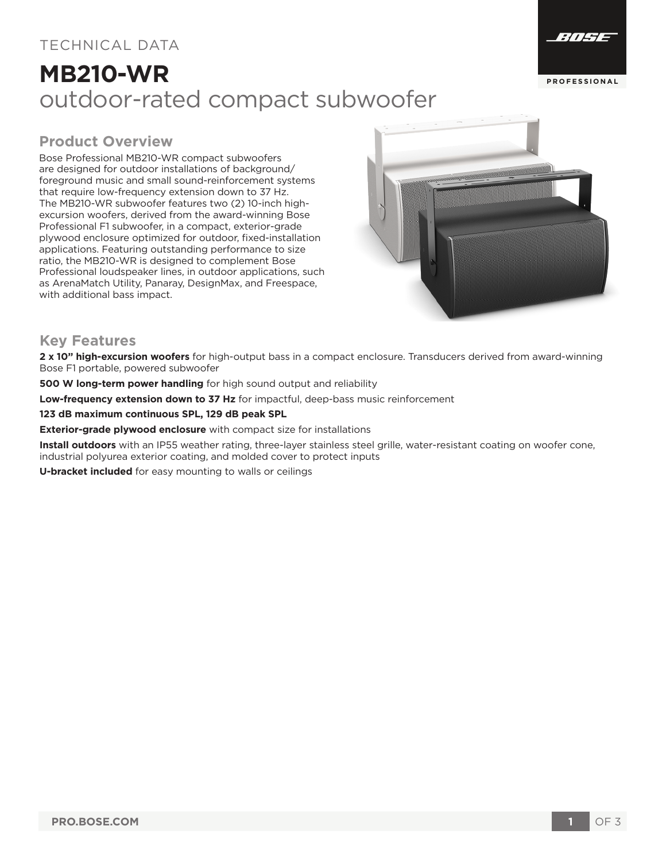### TECHNICAL DATA

# **MB210-WR** outdoor-rated compact subwoofer



#### **Product Overview**

Bose Professional MB210-WR compact subwoofers are designed for outdoor installations of background/ foreground music and small sound-reinforcement systems that require low-frequency extension down to 37 Hz. The MB210-WR subwoofer features two (2) 10-inch highexcursion woofers, derived from the award-winning Bose Professional F1 subwoofer, in a compact, exterior-grade plywood enclosure optimized for outdoor, fixed-installation applications. Featuring outstanding performance to size ratio, the MB210-WR is designed to complement Bose Professional loudspeaker lines, in outdoor applications, such as ArenaMatch Utility, Panaray, DesignMax, and Freespace, with additional bass impact.



#### **Key Features**

**2 x 10" high-excursion woofers** for high-output bass in a compact enclosure. Transducers derived from award-winning Bose F1 portable, powered subwoofer

**500 W long-term power handling** for high sound output and reliability

**Low-frequency extension down to 37 Hz** for impactful, deep-bass music reinforcement

**123 dB maximum continuous SPL, 129 dB peak SPL** 

**Exterior-grade plywood enclosure** with compact size for installations

**Install outdoors** with an IP55 weather rating, three-layer stainless steel grille, water-resistant coating on woofer cone, industrial polyurea exterior coating, and molded cover to protect inputs

**U-bracket included** for easy mounting to walls or ceilings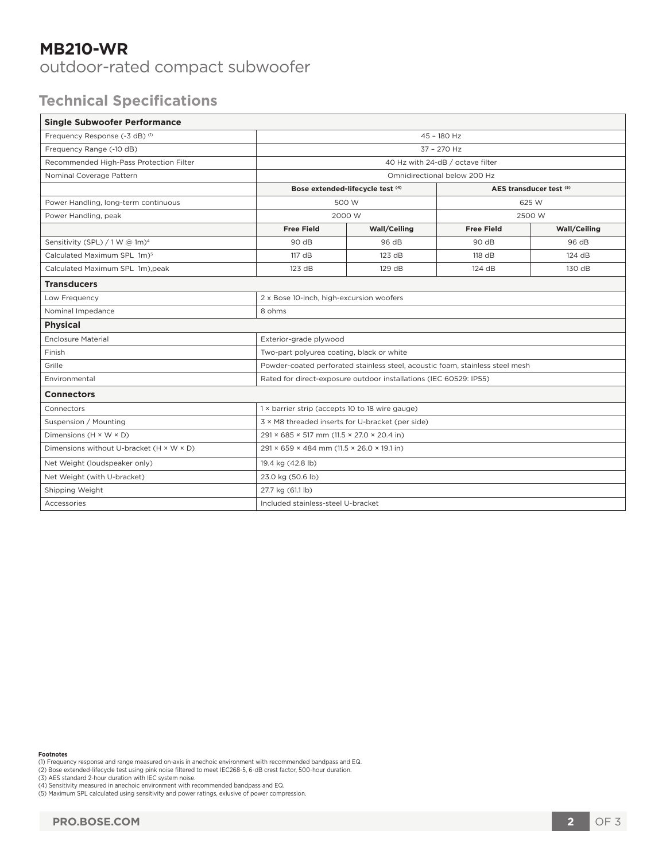## **MB210-WR**

outdoor-rated compact subwoofer

## **Technical Specifications**

| <b>Single Subwoofer Performance</b>        |                                                                               |              |                         |              |
|--------------------------------------------|-------------------------------------------------------------------------------|--------------|-------------------------|--------------|
| Frequency Response (-3 dB) (1)             | 45 - 180 Hz                                                                   |              |                         |              |
| Frequency Range (-10 dB)                   | $37 - 270$ Hz                                                                 |              |                         |              |
| Recommended High-Pass Protection Filter    | 40 Hz with 24-dB / octave filter                                              |              |                         |              |
| Nominal Coverage Pattern                   | Omnidirectional below 200 Hz                                                  |              |                         |              |
|                                            | Bose extended-lifecycle test (4)                                              |              | AES transducer test (5) |              |
| Power Handling, long-term continuous       | 500 W                                                                         |              | 625 W                   |              |
| Power Handling, peak                       | 2000 W                                                                        |              | 2500 W                  |              |
|                                            | <b>Free Field</b>                                                             | Wall/Ceiling | <b>Free Field</b>       | Wall/Ceiling |
| Sensitivity (SPL) / 1 W @ 1m) <sup>4</sup> | 90 dB                                                                         | 96 dB        | 90 dB                   | 96 dB        |
| Calculated Maximum SPL 1m) <sup>5</sup>    | 117dB                                                                         | 123 dB       | 118 dB                  | 124 dB       |
| Calculated Maximum SPL 1m), peak           | 123 dB                                                                        | 129 dB       | 124 dB                  | 130 dB       |
| <b>Transducers</b>                         |                                                                               |              |                         |              |
| Low Frequency                              | 2 x Bose 10-inch, high-excursion woofers                                      |              |                         |              |
| Nominal Impedance                          | 8 ohms                                                                        |              |                         |              |
| <b>Physical</b>                            |                                                                               |              |                         |              |
| <b>Enclosure Material</b>                  | Exterior-grade plywood                                                        |              |                         |              |
| Finish                                     | Two-part polyurea coating, black or white                                     |              |                         |              |
| Grille                                     | Powder-coated perforated stainless steel, acoustic foam, stainless steel mesh |              |                         |              |
| Environmental                              | Rated for direct-exposure outdoor installations (IEC 60529: IP55)             |              |                         |              |
| <b>Connectors</b>                          |                                                                               |              |                         |              |
| Connectors                                 | 1 x barrier strip (accepts 10 to 18 wire gauge)                               |              |                         |              |
| Suspension / Mounting                      | 3 × M8 threaded inserts for U-bracket (per side)                              |              |                         |              |
| Dimensions $(H \times W \times D)$         | 291 × 685 × 517 mm (11.5 × 27.0 × 20.4 in)                                    |              |                         |              |
| Dimensions without U-bracket (H × W × D)   | 291 × 659 × 484 mm (11.5 × 26.0 × 19.1 in)                                    |              |                         |              |
| Net Weight (loudspeaker only)              | 19.4 kg (42.8 lb)                                                             |              |                         |              |
| Net Weight (with U-bracket)                | 23.0 kg (50.6 lb)                                                             |              |                         |              |
| Shipping Weight                            | 27.7 kg (61.1 lb)                                                             |              |                         |              |
| Accessories                                | Included stainless-steel U-bracket                                            |              |                         |              |

**Footnotes**

(1) Frequency response and range measured on-axis in anechoic environment with recommended bandpass and EQ.<br>(2) Bose extended-lifecycle test using pink noise filtered to meet IEC268-5, 6-dB crest factor, 500-hour duration.